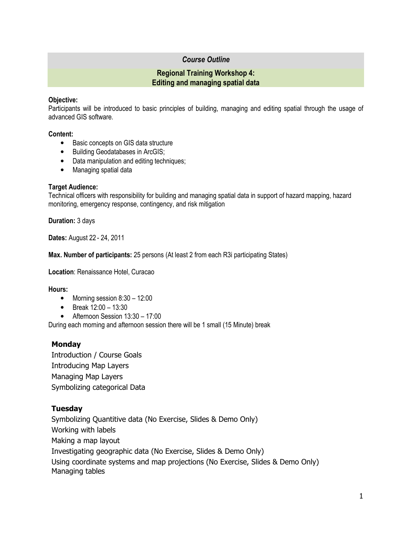# *Course Outline*

### **Regional Training Workshop 4: Editing and managing spatial data**

### **Objective:**

Participants will be introduced to basic principles of building, managing and editing spatial through the usage of advanced GIS software.

### **Content:**

- Basic concepts on GIS data structure
- Building Geodatabases in ArcGIS;
- Data manipulation and editing techniques;
- Managing spatial data

### **Target Audience:**

Technical officers with responsibility for building and managing spatial data in support of hazard mapping, hazard monitoring, emergency response, contingency, and risk mitigation

**Duration:** 3 days

**Dates:** August 22 - 24, 2011

**Max. Number of participants:** 25 persons (At least 2 from each R3i participating States)

**Location**: Renaissance Hotel, Curacao

### **Hours:**

- Morning session 8:30 12:00
- Break 12:00 13:30
- Afternoon Session 13:30 17:00

During each morning and afternoon session there will be 1 small (15 Minute) break

## **Monday**

Introduction / Course Goals Introducing Map Layers Managing Map Layers Symbolizing categorical Data

## **Tuesday**

Symbolizing Quantitive data (No Exercise, Slides & Demo Only) Working with labels Making a map layout Investigating geographic data (No Exercise, Slides & Demo Only) Using coordinate systems and map projections (No Exercise, Slides & Demo Only) Managing tables